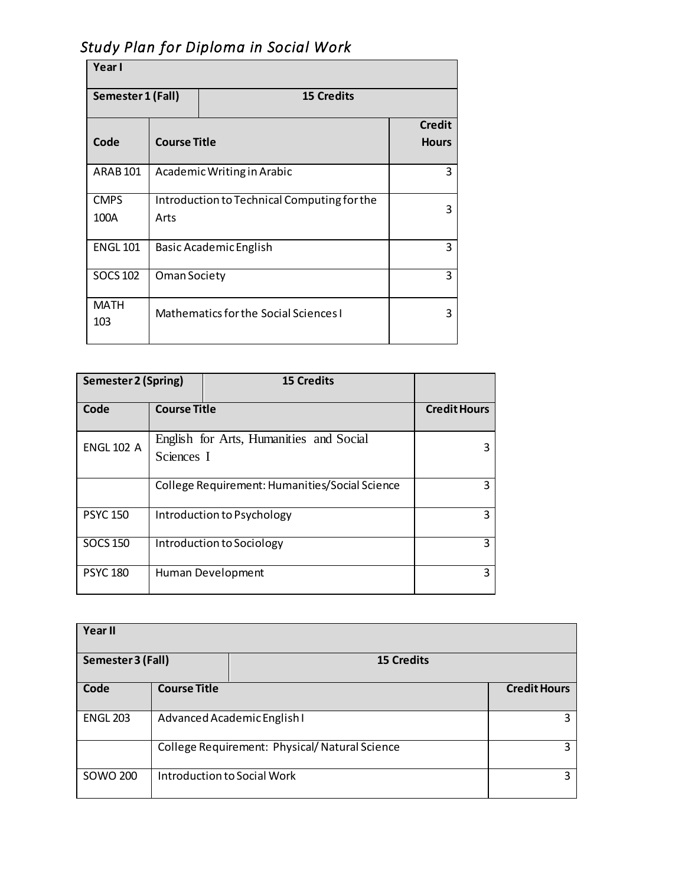| Year I              |                                                          |                                       |                               |  |  |  |
|---------------------|----------------------------------------------------------|---------------------------------------|-------------------------------|--|--|--|
| Semester 1 (Fall)   |                                                          | <b>15 Credits</b>                     |                               |  |  |  |
| Code                | <b>Course Title</b>                                      |                                       | <b>Credit</b><br><b>Hours</b> |  |  |  |
| <b>ARAB101</b>      | 3<br>Academic Writing in Arabic                          |                                       |                               |  |  |  |
| <b>CMPS</b><br>100A | Introduction to Technical Computing for the<br>3<br>Arts |                                       |                               |  |  |  |
| <b>ENGL 101</b>     | <b>Basic Academic English</b>                            |                                       | 3                             |  |  |  |
| <b>SOCS 102</b>     | Oman Society                                             |                                       | 3                             |  |  |  |
| <b>MATH</b><br>103  |                                                          | Mathematics for the Social Sciences I |                               |  |  |  |

## *Study Plan for Diploma in Social Work*

| Semester 2 (Spring) |                                                       | <b>15 Credits</b> |                     |
|---------------------|-------------------------------------------------------|-------------------|---------------------|
| Code                | <b>Course Title</b>                                   |                   | <b>Credit Hours</b> |
| <b>ENGL 102 A</b>   | English for Arts, Humanities and Social<br>Sciences I |                   | 3                   |
|                     | College Requirement: Humanities/Social Science        |                   | 3                   |
| <b>PSYC 150</b>     | Introduction to Psychology                            |                   | 3                   |
| <b>SOCS 150</b>     | Introduction to Sociology                             |                   | 3                   |
| <b>PSYC 180</b>     | Human Development                                     |                   | 3                   |

| Year II           |                                                    |                   |                     |  |  |  |
|-------------------|----------------------------------------------------|-------------------|---------------------|--|--|--|
| Semester 3 (Fall) |                                                    | <b>15 Credits</b> |                     |  |  |  |
| Code              | <b>Course Title</b>                                |                   | <b>Credit Hours</b> |  |  |  |
| <b>ENGL 203</b>   | Advanced Academic English I<br>3                   |                   |                     |  |  |  |
|                   | College Requirement: Physical/Natural Science<br>3 |                   |                     |  |  |  |
| <b>SOWO 200</b>   | Introduction to Social Work                        |                   | 3                   |  |  |  |